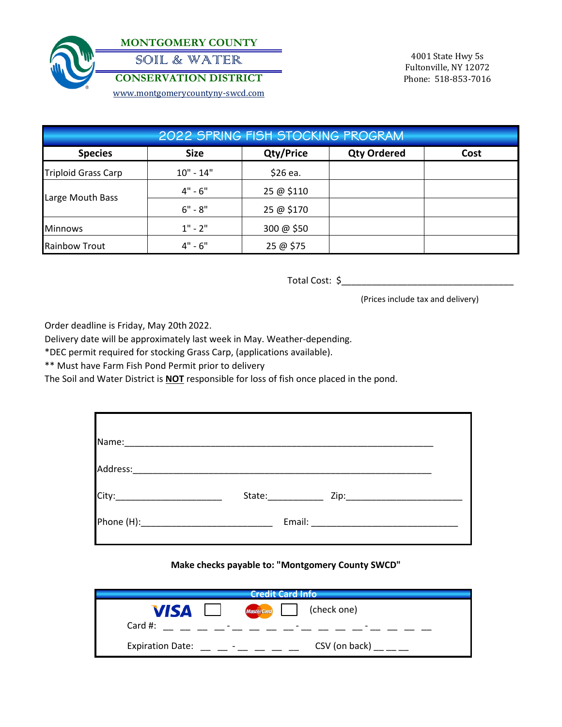

**MONTGOMERY COUNTY** SOIL & WATER

**CONSERVATION DISTRICT**

[www.mo](http://www.montgomerycountyny-swcd.com/)ntgomerycountyny-swcd.com

4001 State Hwy 5s Fultonville, NY 12072 Phone: 518-853-7016

| 2022 SPRING FISH STOCKING PROGRAM |             |                  |                    |      |  |  |
|-----------------------------------|-------------|------------------|--------------------|------|--|--|
| <b>Species</b>                    | <b>Size</b> | <b>Qty/Price</b> | <b>Qty Ordered</b> | Cost |  |  |
| <b>Triploid Grass Carp</b>        | $10" - 14"$ | \$26 ea.         |                    |      |  |  |
| Large Mouth Bass                  | $4" - 6"$   | 25 @ \$110       |                    |      |  |  |
|                                   | $6" - 8"$   | 25 @ \$170       |                    |      |  |  |
| <b>Minnows</b>                    | $1" - 2"$   | 300 @ \$50       |                    |      |  |  |
| <b>Rainbow Trout</b>              | $4" - 6"$   | 25 @ \$75        |                    |      |  |  |

Total Cost: \$\_\_\_\_\_\_\_\_\_\_\_\_\_\_\_\_\_\_\_\_\_\_\_\_\_\_\_\_\_\_\_\_\_\_

(Prices include tax and delivery)

Order deadline is Friday, May 20th 2022.

Delivery date will be approximately last week in May. Weather-depending.

\*DEC permit required for stocking Grass Carp, (applications available).

\*\* Must have Farm Fish Pond Permit prior to delivery

The Soil and Water District is **NOT** responsible for loss of fish once placed in the pond.

| Name:    |                                                                                                                                                                                                                                |  |
|----------|--------------------------------------------------------------------------------------------------------------------------------------------------------------------------------------------------------------------------------|--|
| Address: |                                                                                                                                                                                                                                |  |
|          | State: The State State State State State State State State State State State State State State State State State State State State State State State State State State State State State State State State State State State S |  |
|          | Email:                                                                                                                                                                                                                         |  |

## **Make checks payable to: "Montgomery County SWCD"**

| <b>Credit Card Info</b>                             |                          |  |  |  |
|-----------------------------------------------------|--------------------------|--|--|--|
| <b>VISA</b><br>$\mathbf{1}$                         | Mastercard (check one)   |  |  |  |
| Card #:<br>the contract of the contract of the      | $\overline{\phantom{0}}$ |  |  |  |
| <b>Expiration Date:</b><br>$\overline{\phantom{a}}$ | CSV (on back) $\_\_$     |  |  |  |